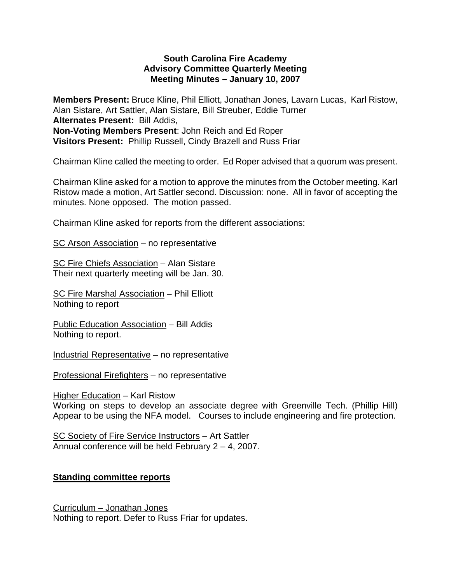## **South Carolina Fire Academy Advisory Committee Quarterly Meeting Meeting Minutes – January 10, 2007**

**Members Present:** Bruce Kline, Phil Elliott, Jonathan Jones, Lavarn Lucas, Karl Ristow, Alan Sistare, Art Sattler, Alan Sistare, Bill Streuber, Eddie Turner **Alternates Present:** Bill Addis, **Non-Voting Members Present**: John Reich and Ed Roper **Visitors Present:** Phillip Russell, Cindy Brazell and Russ Friar

Chairman Kline called the meeting to order. Ed Roper advised that a quorum was present.

Chairman Kline asked for a motion to approve the minutes from the October meeting. Karl Ristow made a motion, Art Sattler second. Discussion: none. All in favor of accepting the minutes. None opposed. The motion passed.

Chairman Kline asked for reports from the different associations:

SC Arson Association – no representative

SC Fire Chiefs Association – Alan Sistare Their next quarterly meeting will be Jan. 30.

SC Fire Marshal Association – Phil Elliott Nothing to report

Public Education Association – Bill Addis Nothing to report.

Industrial Representative – no representative

Professional Firefighters – no representative

Higher Education – Karl Ristow

Working on steps to develop an associate degree with Greenville Tech. (Phillip Hill) Appear to be using the NFA model. Courses to include engineering and fire protection.

SC Society of Fire Service Instructors – Art Sattler Annual conference will be held February 2 – 4, 2007.

# **Standing committee reports**

Curriculum – Jonathan Jones Nothing to report. Defer to Russ Friar for updates.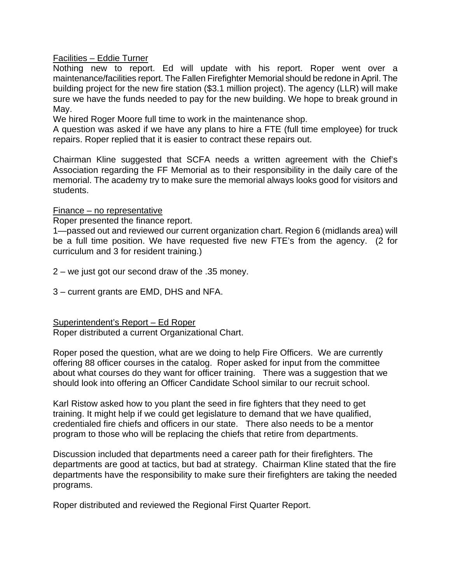Facilities – Eddie Turner

Nothing new to report. Ed will update with his report. Roper went over a maintenance/facilities report. The Fallen Firefighter Memorial should be redone in April. The building project for the new fire station (\$3.1 million project). The agency (LLR) will make sure we have the funds needed to pay for the new building. We hope to break ground in May.

We hired Roger Moore full time to work in the maintenance shop.

A question was asked if we have any plans to hire a FTE (full time employee) for truck repairs. Roper replied that it is easier to contract these repairs out.

Chairman Kline suggested that SCFA needs a written agreement with the Chief's Association regarding the FF Memorial as to their responsibility in the daily care of the memorial. The academy try to make sure the memorial always looks good for visitors and students.

#### Finance – no representative

Roper presented the finance report.

1—passed out and reviewed our current organization chart. Region 6 (midlands area) will be a full time position. We have requested five new FTE's from the agency. (2 for curriculum and 3 for resident training.)

2 – we just got our second draw of the .35 money.

3 – current grants are EMD, DHS and NFA.

Superintendent's Report – Ed Roper

Roper distributed a current Organizational Chart.

Roper posed the question, what are we doing to help Fire Officers. We are currently offering 88 officer courses in the catalog. Roper asked for input from the committee about what courses do they want for officer training. There was a suggestion that we should look into offering an Officer Candidate School similar to our recruit school.

Karl Ristow asked how to you plant the seed in fire fighters that they need to get training. It might help if we could get legislature to demand that we have qualified, credentialed fire chiefs and officers in our state. There also needs to be a mentor program to those who will be replacing the chiefs that retire from departments.

Discussion included that departments need a career path for their firefighters. The departments are good at tactics, but bad at strategy. Chairman Kline stated that the fire departments have the responsibility to make sure their firefighters are taking the needed programs.

Roper distributed and reviewed the Regional First Quarter Report.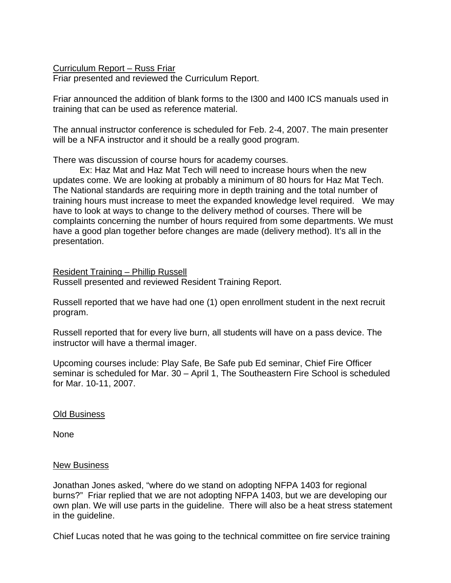Curriculum Report – Russ Friar

Friar presented and reviewed the Curriculum Report.

Friar announced the addition of blank forms to the I300 and I400 ICS manuals used in training that can be used as reference material.

The annual instructor conference is scheduled for Feb. 2-4, 2007. The main presenter will be a NFA instructor and it should be a really good program.

There was discussion of course hours for academy courses.

 Ex: Haz Mat and Haz Mat Tech will need to increase hours when the new updates come. We are looking at probably a minimum of 80 hours for Haz Mat Tech. The National standards are requiring more in depth training and the total number of training hours must increase to meet the expanded knowledge level required. We may have to look at ways to change to the delivery method of courses. There will be complaints concerning the number of hours required from some departments. We must have a good plan together before changes are made (delivery method). It's all in the presentation.

Resident Training – Phillip Russell Russell presented and reviewed Resident Training Report.

Russell reported that we have had one (1) open enrollment student in the next recruit program.

Russell reported that for every live burn, all students will have on a pass device. The instructor will have a thermal imager.

Upcoming courses include: Play Safe, Be Safe pub Ed seminar, Chief Fire Officer seminar is scheduled for Mar. 30 – April 1, The Southeastern Fire School is scheduled for Mar. 10-11, 2007.

## Old Business

None

## New Business

Jonathan Jones asked, "where do we stand on adopting NFPA 1403 for regional burns?" Friar replied that we are not adopting NFPA 1403, but we are developing our own plan. We will use parts in the guideline. There will also be a heat stress statement in the guideline.

Chief Lucas noted that he was going to the technical committee on fire service training